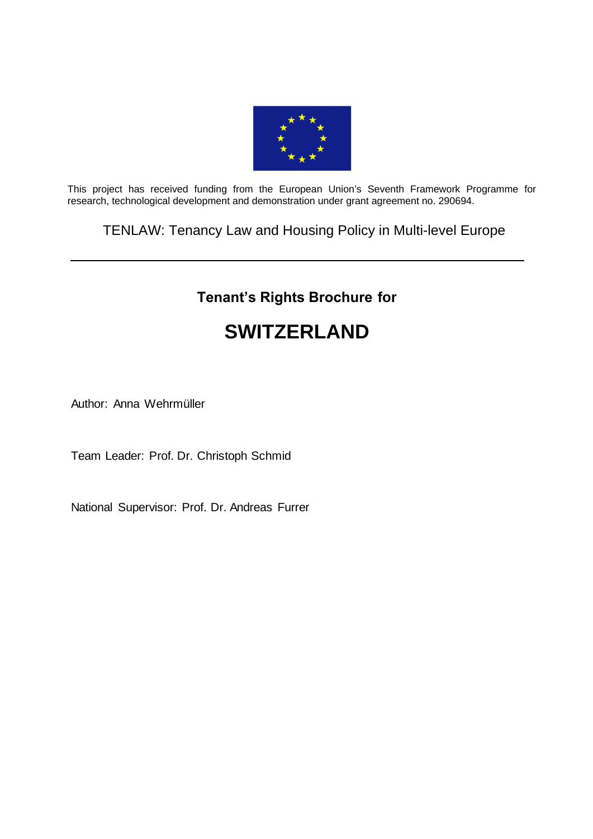

This project has received funding from the European Union's Seventh Framework Programme for research, technological development and demonstration under grant agreement no. 290694.

TENLAW: Tenancy Law and Housing Policy in Multi-level Europe

# **Tenant's Rights Brochure for**

# **SWITZERLAND**

Author: Anna Wehrmüller

Team Leader: Prof. Dr. Christoph Schmid

National Supervisor: Prof. Dr. Andreas Furrer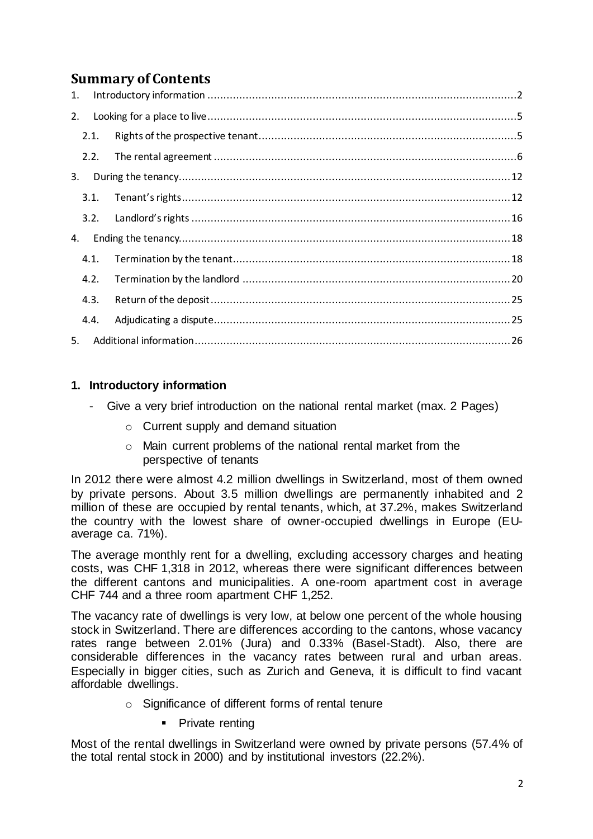# **Summary of Contents**

| 1. |      |  |  |
|----|------|--|--|
| 2. |      |  |  |
|    | 2.1. |  |  |
|    | 2.2. |  |  |
| 3. |      |  |  |
|    | 3.1. |  |  |
|    |      |  |  |
| 4. |      |  |  |
|    | 4.1. |  |  |
|    | 4.2. |  |  |
|    | 4.3. |  |  |
|    | 4.4. |  |  |
| 5. |      |  |  |

# <span id="page-1-0"></span>**1. Introductory information**

- Give a very brief introduction on the national rental market (max. 2 Pages)
	- o Current supply and demand situation
	- o Main current problems of the national rental market from the perspective of tenants

In 2012 there were almost 4.2 million dwellings in Switzerland, most of them owned by private persons. About 3.5 million dwellings are permanently inhabited and 2 million of these are occupied by rental tenants, which, at 37.2%, makes Switzerland the country with the lowest share of owner-occupied dwellings in Europe (EUaverage ca. 71%).

The average monthly rent for a dwelling, excluding accessory charges and heating costs, was CHF 1,318 in 2012, whereas there were significant differences between the different cantons and municipalities. A one-room apartment cost in average CHF 744 and a three room apartment CHF 1,252.

The vacancy rate of dwellings is very low, at below one percent of the whole housing stock in Switzerland. There are differences according to the cantons, whose vacancy rates range between 2.01% (Jura) and 0.33% (Basel-Stadt). Also, there are considerable differences in the vacancy rates between rural and urban areas. Especially in bigger cities, such as Zurich and Geneva, it is difficult to find vacant affordable dwellings.

- o Significance of different forms of rental tenure
	- Private renting

Most of the rental dwellings in Switzerland were owned by private persons (57.4% of the total rental stock in 2000) and by institutional investors (22.2%).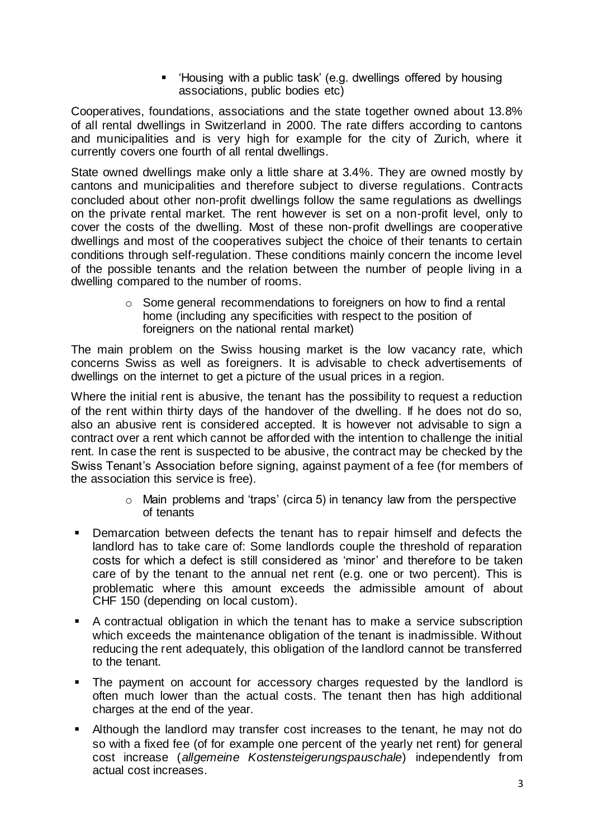'Housing with a public task' (e.g. dwellings offered by housing associations, public bodies etc)

Cooperatives, foundations, associations and the state together owned about 13.8% of all rental dwellings in Switzerland in 2000. The rate differs according to cantons and municipalities and is very high for example for the city of Zurich, where it currently covers one fourth of all rental dwellings.

State owned dwellings make only a little share at 3.4%. They are owned mostly by cantons and municipalities and therefore subject to diverse regulations. Contracts concluded about other non-profit dwellings follow the same regulations as dwellings on the private rental market. The rent however is set on a non-profit level, only to cover the costs of the dwelling. Most of these non-profit dwellings are cooperative dwellings and most of the cooperatives subject the choice of their tenants to certain conditions through self-regulation. These conditions mainly concern the income level of the possible tenants and the relation between the number of people living in a dwelling compared to the number of rooms.

> o Some general recommendations to foreigners on how to find a rental home (including any specificities with respect to the position of foreigners on the national rental market)

The main problem on the Swiss housing market is the low vacancy rate, which concerns Swiss as well as foreigners. It is advisable to check advertisements of dwellings on the internet to get a picture of the usual prices in a region.

Where the initial rent is abusive, the tenant has the possibility to request a reduction of the rent within thirty days of the handover of the dwelling. If he does not do so, also an abusive rent is considered accepted. It is however not advisable to sign a contract over a rent which cannot be afforded with the intention to challenge the initial rent. In case the rent is suspected to be abusive, the contract may be checked by the Swiss Tenant's Association before signing, against payment of a fee (for members of the association this service is free).

- $\circ$  Main problems and 'traps' (circa 5) in tenancy law from the perspective of tenants
- **•** Demarcation between defects the tenant has to repair himself and defects the landlord has to take care of: Some landlords couple the threshold of reparation costs for which a defect is still considered as 'minor' and therefore to be taken care of by the tenant to the annual net rent (e.g. one or two percent). This is problematic where this amount exceeds the admissible amount of about CHF 150 (depending on local custom).
- A contractual obligation in which the tenant has to make a service subscription which exceeds the maintenance obligation of the tenant is inadmissible. Without reducing the rent adequately, this obligation of the landlord cannot be transferred to the tenant.
- The payment on account for accessory charges requested by the landlord is often much lower than the actual costs. The tenant then has high additional charges at the end of the year.
- Although the landlord may transfer cost increases to the tenant, he may not do so with a fixed fee (of for example one percent of the yearly net rent) for general cost increase (*allgemeine Kostensteigerungspauschale*) independently from actual cost increases.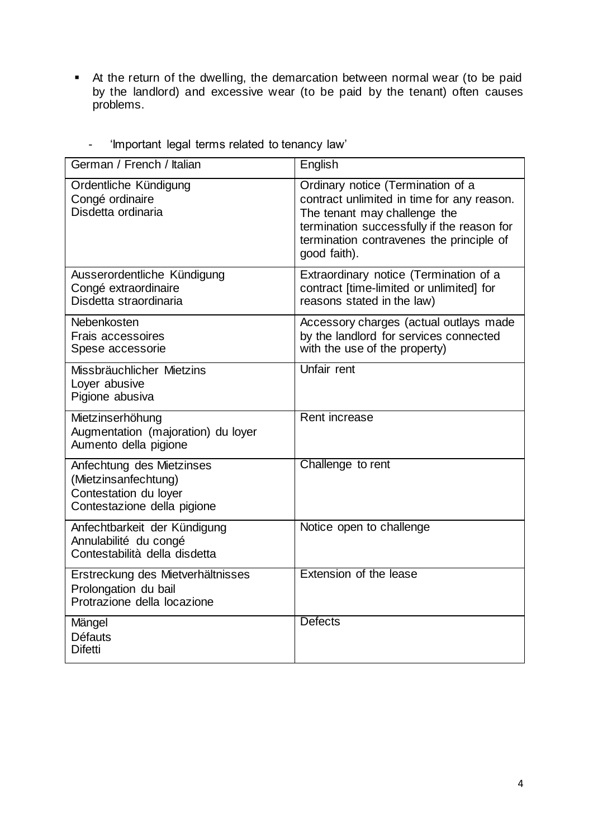At the return of the dwelling, the demarcation between normal wear (to be paid by the landlord) and excessive wear (to be paid by the tenant) often causes problems.

| German / French / Italian                                                                                 | English                                                                                                                                                                                                                   |
|-----------------------------------------------------------------------------------------------------------|---------------------------------------------------------------------------------------------------------------------------------------------------------------------------------------------------------------------------|
| Ordentliche Kündigung<br>Congé ordinaire<br>Disdetta ordinaria                                            | Ordinary notice (Termination of a<br>contract unlimited in time for any reason.<br>The tenant may challenge the<br>termination successfully if the reason for<br>termination contravenes the principle of<br>good faith). |
| Ausserordentliche Kündigung<br>Congé extraordinaire<br>Disdetta straordinaria                             | Extraordinary notice (Termination of a<br>contract [time-limited or unlimited] for<br>reasons stated in the law)                                                                                                          |
| Nebenkosten<br><b>Frais accessoires</b><br>Spese accessorie                                               | Accessory charges (actual outlays made<br>by the landlord for services connected<br>with the use of the property)                                                                                                         |
| Missbräuchlicher Mietzins<br>Loyer abusive<br>Pigione abusiva                                             | Unfair rent                                                                                                                                                                                                               |
| Mietzinserhöhung<br>Augmentation (majoration) du loyer<br>Aumento della pigione                           | Rent increase                                                                                                                                                                                                             |
| Anfechtung des Mietzinses<br>(Mietzinsanfechtung)<br>Contestation du loyer<br>Contestazione della pigione | Challenge to rent                                                                                                                                                                                                         |
| Anfechtbarkeit der Kündigung<br>Annulabilité du congé<br>Contestabilità della disdetta                    | Notice open to challenge                                                                                                                                                                                                  |
| Erstreckung des Mietverhältnisses<br>Prolongation du bail<br>Protrazione della locazione                  | Extension of the lease                                                                                                                                                                                                    |
| Mängel<br><b>Défauts</b><br><b>Difetti</b>                                                                | <b>Defects</b>                                                                                                                                                                                                            |

- 'Important legal terms related to tenancy law'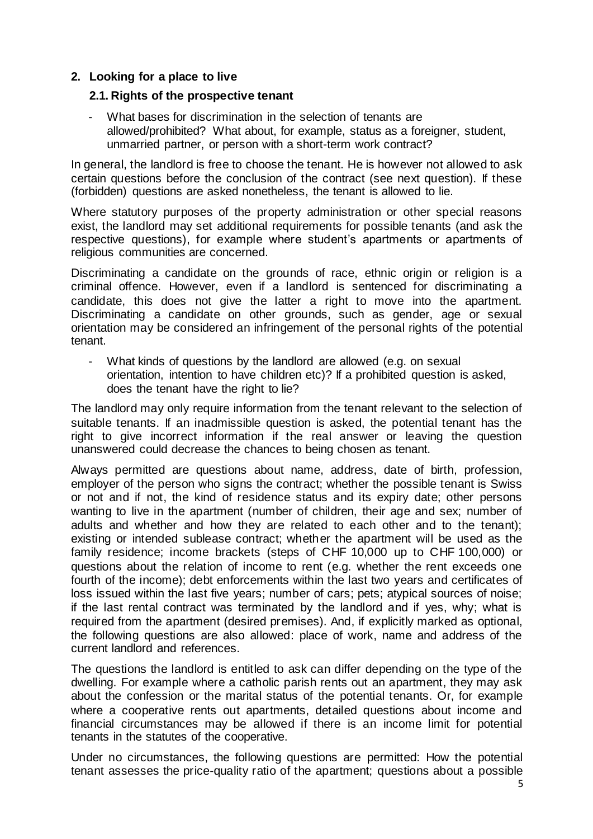# <span id="page-4-0"></span>**2. Looking for a place to live**

#### <span id="page-4-1"></span>**2.1. Rights of the prospective tenant**

What bases for discrimination in the selection of tenants are allowed/prohibited? What about, for example, status as a foreigner, student, unmarried partner, or person with a short-term work contract?

In general, the landlord is free to choose the tenant. He is however not allowed to ask certain questions before the conclusion of the contract (see next question). If these (forbidden) questions are asked nonetheless, the tenant is allowed to lie.

Where statutory purposes of the property administration or other special reasons exist, the landlord may set additional requirements for possible tenants (and ask the respective questions), for example where student's apartments or apartments of religious communities are concerned.

Discriminating a candidate on the grounds of race, ethnic origin or religion is a criminal offence. However, even if a landlord is sentenced for discriminating a candidate, this does not give the latter a right to move into the apartment. Discriminating a candidate on other grounds, such as gender, age or sexual orientation may be considered an infringement of the personal rights of the potential tenant.

- What kinds of questions by the landlord are allowed (e.g. on sexual orientation, intention to have children etc)? If a prohibited question is asked, does the tenant have the right to lie?

The landlord may only require information from the tenant relevant to the selection of suitable tenants. If an inadmissible question is asked, the potential tenant has the right to give incorrect information if the real answer or leaving the question unanswered could decrease the chances to being chosen as tenant.

Always permitted are questions about name, address, date of birth, profession, employer of the person who signs the contract; whether the possible tenant is Swiss or not and if not, the kind of residence status and its expiry date; other persons wanting to live in the apartment (number of children, their age and sex; number of adults and whether and how they are related to each other and to the tenant); existing or intended sublease contract; whether the apartment will be used as the family residence; income brackets (steps of CHF 10,000 up to CHF 100,000) or questions about the relation of income to rent (e.g. whether the rent exceeds one fourth of the income); debt enforcements within the last two years and certificates of loss issued within the last five years; number of cars; pets; atypical sources of noise; if the last rental contract was terminated by the landlord and if yes, why; what is required from the apartment (desired premises). And, if explicitly marked as optional, the following questions are also allowed: place of work, name and address of the current landlord and references.

The questions the landlord is entitled to ask can differ depending on the type of the dwelling. For example where a catholic parish rents out an apartment, they may ask about the confession or the marital status of the potential tenants. Or, for example where a cooperative rents out apartments, detailed questions about income and financial circumstances may be allowed if there is an income limit for potential tenants in the statutes of the cooperative.

Under no circumstances, the following questions are permitted: How the potential tenant assesses the price-quality ratio of the apartment; questions about a possible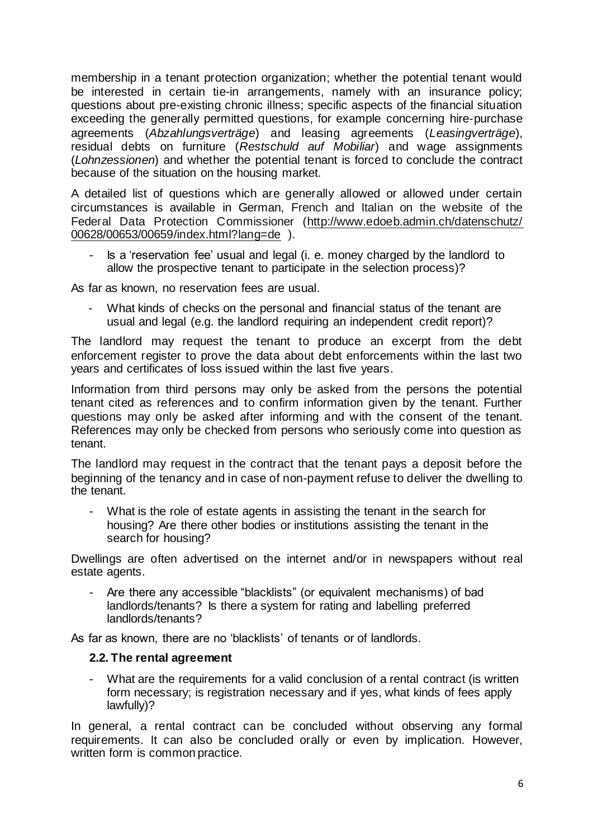membership in a tenant protection organization; whether the potential tenant would be interested in certain tie-in arrangements, namely with an insurance policy; questions about pre-existing chronic illness; specific aspects of the financial situation exceeding the generally permitted questions, for example concerning hire-purchase agreements (*Abzahlungsverträge*) and leasing agreements (*Leasingverträge*), residual debts on furniture (*Restschuld auf Mobiliar*) and wage assignments (*Lohnzessionen*) and whether the potential tenant is forced to conclude the contract because of the situation on the housing market.

A detailed list of questions which are generally allowed or allowed under certain circumstances is available in German, French and Italian on the website of the Federal Data Protection Commissioner [\(http://www.edoeb.admin.ch/datenschutz/](http://www.edoeb.admin.ch/datenschutz/00628/00653/00659/index.html?lang=de) [00628/00653/00659/index.html?lang=de](http://www.edoeb.admin.ch/datenschutz/00628/00653/00659/index.html?lang=de) ).

Is a 'reservation fee' usual and legal (i. e. money charged by the landlord to allow the prospective tenant to participate in the selection process)?

As far as known, no reservation fees are usual.

What kinds of checks on the personal and financial status of the tenant are usual and legal (e.g. the landlord requiring an independent credit report)?

The landlord may request the tenant to produce an excerpt from the debt enforcement register to prove the data about debt enforcements within the last two years and certificates of loss issued within the last five years.

Information from third persons may only be asked from the persons the potential tenant cited as references and to confirm information given by the tenant. Further questions may only be asked after informing and with the consent of the tenant. References may only be checked from persons who seriously come into question as tenant.

The landlord may request in the contract that the tenant pays a deposit before the beginning of the tenancy and in case of non-payment refuse to deliver the dwelling to the tenant.

What is the role of estate agents in assisting the tenant in the search for housing? Are there other bodies or institutions assisting the tenant in the search for housing?

Dwellings are often advertised on the internet and/or in newspapers without real estate agents.

- Are there any accessible "blacklists" (or equivalent mechanisms) of bad landlords/tenants? Is there a system for rating and labelling preferred landlords/tenants?

<span id="page-5-0"></span>As far as known, there are no 'blacklists' of tenants or of landlords.

#### **2.2. The rental agreement**

- What are the requirements for a valid conclusion of a rental contract (is written form necessary; is registration necessary and if yes, what kinds of fees apply lawfully)?

In general, a rental contract can be concluded without observing any formal requirements. It can also be concluded orally or even by implication. However, written form is common practice.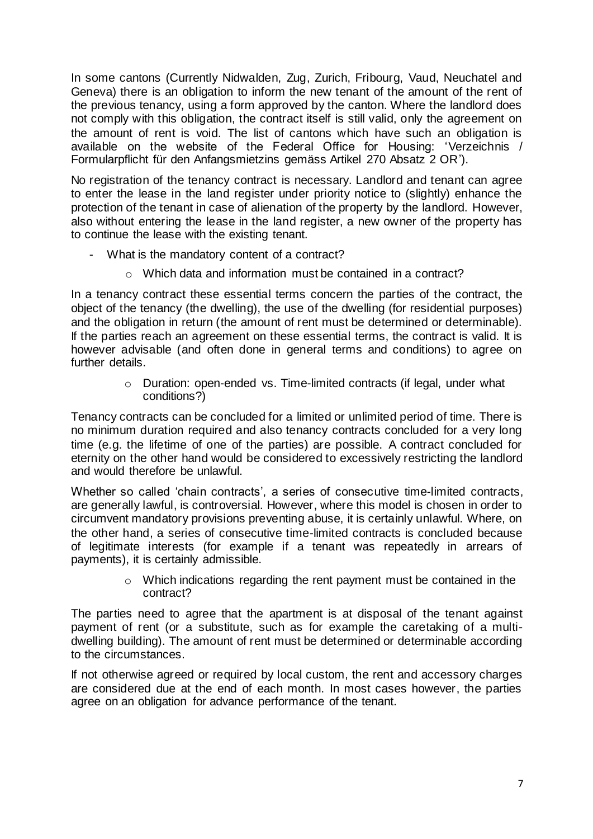In some cantons (Currently Nidwalden, Zug, Zurich, Fribourg, Vaud, Neuchatel and Geneva) there is an obligation to inform the new tenant of the amount of the rent of the previous tenancy, using a form approved by the canton. Where the landlord does not comply with this obligation, the contract itself is still valid, only the agreement on the amount of rent is void. The list of cantons which have such an obligation is available on the website of the Federal Office for Housing: 'Verzeichnis / Formularpflicht für den Anfangsmietzins gemäss Artikel 270 Absatz 2 OR').

No registration of the tenancy contract is necessary. Landlord and tenant can agree to enter the lease in the land register under priority notice to (slightly) enhance the protection of the tenant in case of alienation of the property by the landlord. However, also without entering the lease in the land register, a new owner of the property has to continue the lease with the existing tenant.

- What is the mandatory content of a contract?
	- o Which data and information must be contained in a contract?

In a tenancy contract these essential terms concern the parties of the contract, the object of the tenancy (the dwelling), the use of the dwelling (for residential purposes) and the obligation in return (the amount of rent must be determined or determinable). If the parties reach an agreement on these essential terms, the contract is valid. It is however advisable (and often done in general terms and conditions) to agree on further details.

> $\circ$  Duration: open-ended vs. Time-limited contracts (if legal, under what conditions?)

Tenancy contracts can be concluded for a limited or unlimited period of time. There is no minimum duration required and also tenancy contracts concluded for a very long time (e.g. the lifetime of one of the parties) are possible. A contract concluded for eternity on the other hand would be considered to excessively restricting the landlord and would therefore be unlawful.

Whether so called 'chain contracts', a series of consecutive time-limited contracts, are generally lawful, is controversial. However, where this model is chosen in order to circumvent mandatory provisions preventing abuse, it is certainly unlawful. Where, on the other hand, a series of consecutive time-limited contracts is concluded because of legitimate interests (for example if a tenant was repeatedly in arrears of payments), it is certainly admissible.

> o Which indications regarding the rent payment must be contained in the contract?

The parties need to agree that the apartment is at disposal of the tenant against payment of rent (or a substitute, such as for example the caretaking of a multidwelling building). The amount of rent must be determined or determinable according to the circumstances.

If not otherwise agreed or required by local custom, the rent and accessory charges are considered due at the end of each month. In most cases however, the parties agree on an obligation for advance performance of the tenant.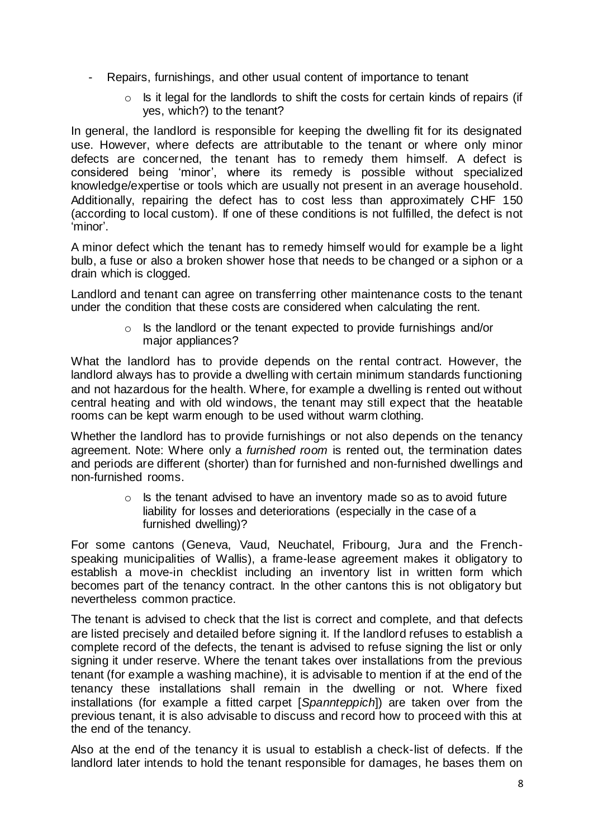- Repairs, furnishings, and other usual content of importance to tenant
	- $\circ$  Is it legal for the landlords to shift the costs for certain kinds of repairs (if yes, which?) to the tenant?

In general, the landlord is responsible for keeping the dwelling fit for its designated use. However, where defects are attributable to the tenant or where only minor defects are concerned, the tenant has to remedy them himself. A defect is considered being 'minor', where its remedy is possible without specialized knowledge/expertise or tools which are usually not present in an average household. Additionally, repairing the defect has to cost less than approximately CHF 150 (according to local custom). If one of these conditions is not fulfilled, the defect is not 'minor'.

A minor defect which the tenant has to remedy himself would for example be a light bulb, a fuse or also a broken shower hose that needs to be changed or a siphon or a drain which is clogged.

Landlord and tenant can agree on transferring other maintenance costs to the tenant under the condition that these costs are considered when calculating the rent.

> o Is the landlord or the tenant expected to provide furnishings and/or major appliances?

What the landlord has to provide depends on the rental contract. However, the landlord always has to provide a dwelling with certain minimum standards functioning and not hazardous for the health. Where, for example a dwelling is rented out without central heating and with old windows, the tenant may still expect that the heatable rooms can be kept warm enough to be used without warm clothing.

Whether the landlord has to provide furnishings or not also depends on the tenancy agreement. Note: Where only a *furnished room* is rented out, the termination dates and periods are different (shorter) than for furnished and non-furnished dwellings and non-furnished rooms.

> $\circ$  Is the tenant advised to have an inventory made so as to avoid future liability for losses and deteriorations (especially in the case of a furnished dwelling)?

For some cantons (Geneva, Vaud, Neuchatel, Fribourg, Jura and the Frenchspeaking municipalities of Wallis), a frame-lease agreement makes it obligatory to establish a move-in checklist including an inventory list in written form which becomes part of the tenancy contract. In the other cantons this is not obligatory but nevertheless common practice.

The tenant is advised to check that the list is correct and complete, and that defects are listed precisely and detailed before signing it. If the landlord refuses to establish a complete record of the defects, the tenant is advised to refuse signing the list or only signing it under reserve. Where the tenant takes over installations from the previous tenant (for example a washing machine), it is advisable to mention if at the end of the tenancy these installations shall remain in the dwelling or not. Where fixed installations (for example a fitted carpet [*Spannteppich*]) are taken over from the previous tenant, it is also advisable to discuss and record how to proceed with this at the end of the tenancy.

Also at the end of the tenancy it is usual to establish a check-list of defects. If the landlord later intends to hold the tenant responsible for damages, he bases them on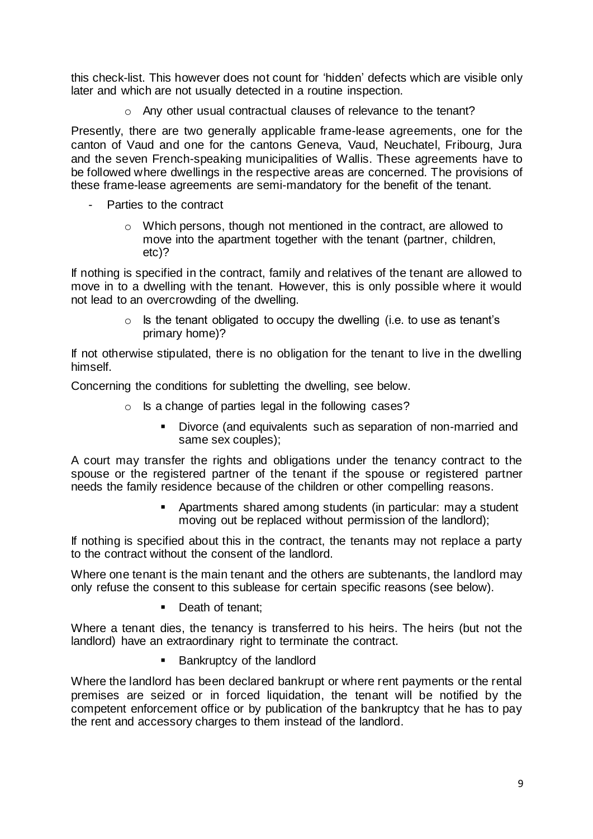this check-list. This however does not count for 'hidden' defects which are visible only later and which are not usually detected in a routine inspection.

o Any other usual contractual clauses of relevance to the tenant?

Presently, there are two generally applicable frame-lease agreements, one for the canton of Vaud and one for the cantons Geneva, Vaud, Neuchatel, Fribourg, Jura and the seven French-speaking municipalities of Wallis. These agreements have to be followed where dwellings in the respective areas are concerned. The provisions of these frame-lease agreements are semi-mandatory for the benefit of the tenant.

- Parties to the contract
	- $\circ$  Which persons, though not mentioned in the contract, are allowed to move into the apartment together with the tenant (partner, children, etc)?

If nothing is specified in the contract, family and relatives of the tenant are allowed to move in to a dwelling with the tenant. However, this is only possible where it would not lead to an overcrowding of the dwelling.

> $\circ$  Is the tenant obligated to occupy the dwelling (i.e. to use as tenant's primary home)?

If not otherwise stipulated, there is no obligation for the tenant to live in the dwelling himself.

Concerning the conditions for subletting the dwelling, see below.

- o Is a change of parties legal in the following cases?
	- Divorce (and equivalents such as separation of non-married and same sex couples);

A court may transfer the rights and obligations under the tenancy contract to the spouse or the registered partner of the tenant if the spouse or registered partner needs the family residence because of the children or other compelling reasons.

> Apartments shared among students (in particular: may a student moving out be replaced without permission of the landlord);

If nothing is specified about this in the contract, the tenants may not replace a party to the contract without the consent of the landlord.

Where one tenant is the main tenant and the others are subtenants, the landlord may only refuse the consent to this sublease for certain specific reasons (see below).

Death of tenant:

Where a tenant dies, the tenancy is transferred to his heirs. The heirs (but not the landlord) have an extraordinary right to terminate the contract.

■ Bankruptcy of the landlord

Where the landlord has been declared bankrupt or where rent payments or the rental premises are seized or in forced liquidation, the tenant will be notified by the competent enforcement office or by publication of the bankruptcy that he has to pay the rent and accessory charges to them instead of the landlord.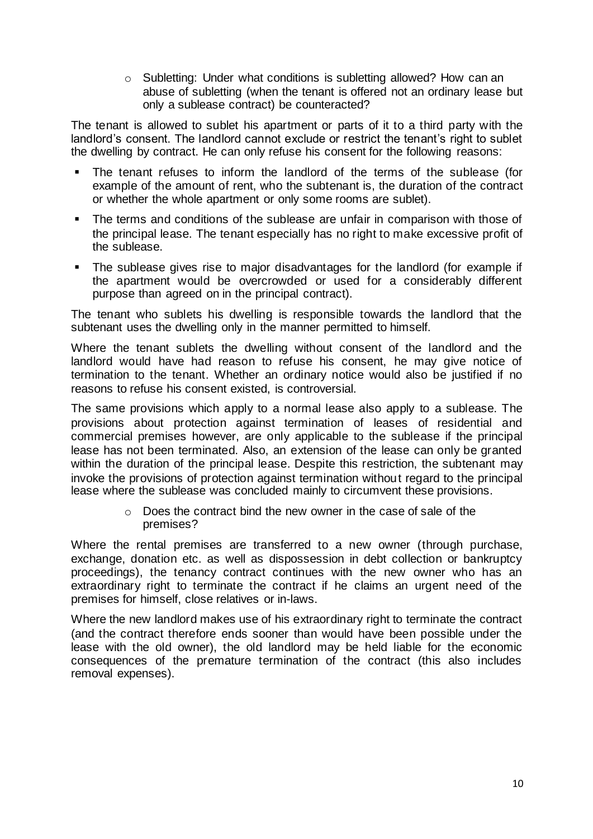$\circ$  Subletting: Under what conditions is subletting allowed? How can an abuse of subletting (when the tenant is offered not an ordinary lease but only a sublease contract) be counteracted?

The tenant is allowed to sublet his apartment or parts of it to a third party with the landlord's consent. The landlord cannot exclude or restrict the tenant's right to sublet the dwelling by contract. He can only refuse his consent for the following reasons:

- The tenant refuses to inform the landlord of the terms of the sublease (for example of the amount of rent, who the subtenant is, the duration of the contract or whether the whole apartment or only some rooms are sublet).
- The terms and conditions of the sublease are unfair in comparison with those of the principal lease. The tenant especially has no right to make excessive profit of the sublease.
- The sublease gives rise to major disadvantages for the landlord (for example if the apartment would be overcrowded or used for a considerably different purpose than agreed on in the principal contract).

The tenant who sublets his dwelling is responsible towards the landlord that the subtenant uses the dwelling only in the manner permitted to himself.

Where the tenant sublets the dwelling without consent of the landlord and the landlord would have had reason to refuse his consent, he may give notice of termination to the tenant. Whether an ordinary notice would also be justified if no reasons to refuse his consent existed, is controversial.

The same provisions which apply to a normal lease also apply to a sublease. The provisions about protection against termination of leases of residential and commercial premises however, are only applicable to the sublease if the principal lease has not been terminated. Also, an extension of the lease can only be granted within the duration of the principal lease. Despite this restriction, the subtenant may invoke the provisions of protection against termination without regard to the principal lease where the sublease was concluded mainly to circumvent these provisions.

> $\circ$  Does the contract bind the new owner in the case of sale of the premises?

Where the rental premises are transferred to a new owner (through purchase, exchange, donation etc. as well as dispossession in debt collection or bankruptcy proceedings), the tenancy contract continues with the new owner who has an extraordinary right to terminate the contract if he claims an urgent need of the premises for himself, close relatives or in-laws.

Where the new landlord makes use of his extraordinary right to terminate the contract (and the contract therefore ends sooner than would have been possible under the lease with the old owner), the old landlord may be held liable for the economic consequences of the premature termination of the contract (this also includes removal expenses).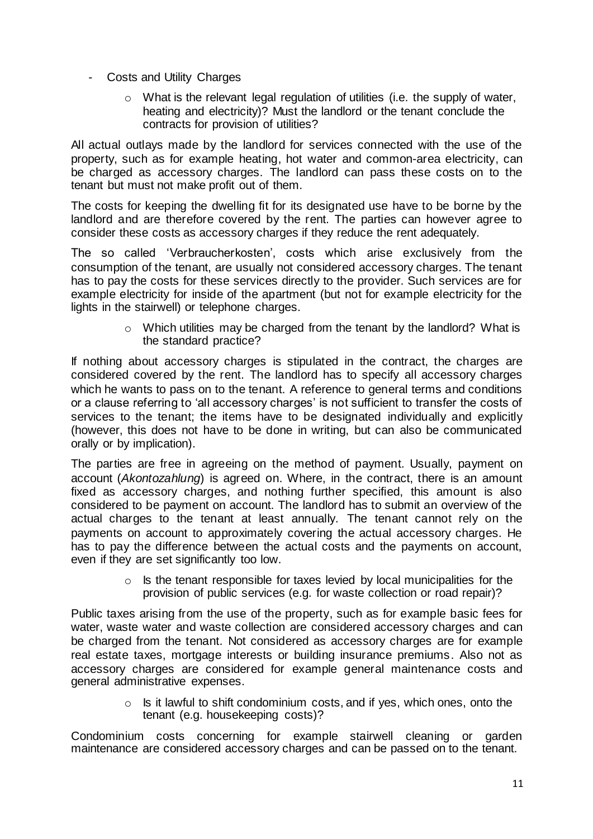- Costs and Utility Charges
	- $\circ$  What is the relevant legal regulation of utilities (i.e. the supply of water, heating and electricity)? Must the landlord or the tenant conclude the contracts for provision of utilities?

All actual outlays made by the landlord for services connected with the use of the property, such as for example heating, hot water and common-area electricity, can be charged as accessory charges. The landlord can pass these costs on to the tenant but must not make profit out of them.

The costs for keeping the dwelling fit for its designated use have to be borne by the landlord and are therefore covered by the rent. The parties can however agree to consider these costs as accessory charges if they reduce the rent adequately.

The so called 'Verbraucherkosten', costs which arise exclusively from the consumption of the tenant, are usually not considered accessory charges. The tenant has to pay the costs for these services directly to the provider. Such services are for example electricity for inside of the apartment (but not for example electricity for the lights in the stairwell) or telephone charges.

> o Which utilities may be charged from the tenant by the landlord? What is the standard practice?

If nothing about accessory charges is stipulated in the contract, the charges are considered covered by the rent. The landlord has to specify all accessory charges which he wants to pass on to the tenant. A reference to general terms and conditions or a clause referring to 'all accessory charges' is not sufficient to transfer the costs of services to the tenant; the items have to be designated individually and explicitly (however, this does not have to be done in writing, but can also be communicated orally or by implication).

The parties are free in agreeing on the method of payment. Usually, payment on account (*Akontozahlung*) is agreed on. Where, in the contract, there is an amount fixed as accessory charges, and nothing further specified, this amount is also considered to be payment on account. The landlord has to submit an overview of the actual charges to the tenant at least annually. The tenant cannot rely on the payments on account to approximately covering the actual accessory charges. He has to pay the difference between the actual costs and the payments on account, even if they are set significantly too low.

> $\circ$  Is the tenant responsible for taxes levied by local municipalities for the provision of public services (e.g. for waste collection or road repair)?

Public taxes arising from the use of the property, such as for example basic fees for water, waste water and waste collection are considered accessory charges and can be charged from the tenant. Not considered as accessory charges are for example real estate taxes, mortgage interests or building insurance premiums. Also not as accessory charges are considered for example general maintenance costs and general administrative expenses.

> o Is it lawful to shift condominium costs, and if yes, which ones, onto the tenant (e.g. housekeeping costs)?

Condominium costs concerning for example stairwell cleaning or garden maintenance are considered accessory charges and can be passed on to the tenant.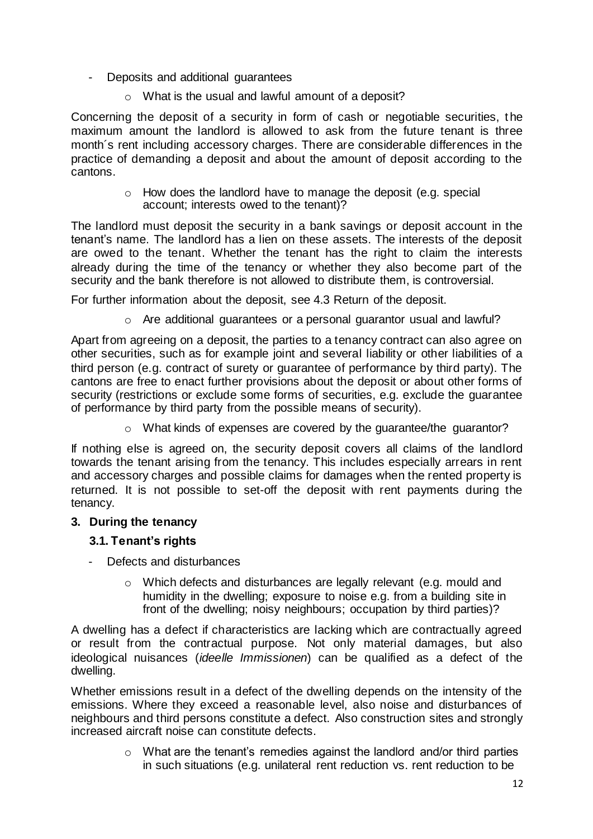- Deposits and additional guarantees
	- o What is the usual and lawful amount of a deposit?

Concerning the deposit of a security in form of cash or negotiable securities, the maximum amount the landlord is allowed to ask from the future tenant is three month´s rent including accessory charges. There are considerable differences in the practice of demanding a deposit and about the amount of deposit according to the cantons.

> o How does the landlord have to manage the deposit (e.g. special account; interests owed to the tenant)?

The landlord must deposit the security in a bank savings or deposit account in the tenant's name. The landlord has a lien on these assets. The interests of the deposit are owed to the tenant. Whether the tenant has the right to claim the interests already during the time of the tenancy or whether they also become part of the security and the bank therefore is not allowed to distribute them, is controversial.

For further information about the deposit, see 4.3 Return of the deposit.

o Are additional guarantees or a personal guarantor usual and lawful?

Apart from agreeing on a deposit, the parties to a tenancy contract can also agree on other securities, such as for example joint and several liability or other liabilities of a third person (e.g. contract of surety or guarantee of performance by third party). The cantons are free to enact further provisions about the deposit or about other forms of security (restrictions or exclude some forms of securities, e.g. exclude the guarantee of performance by third party from the possible means of security).

 $\circ$  What kinds of expenses are covered by the quarantee/the quarantor?

If nothing else is agreed on, the security deposit covers all claims of the landlord towards the tenant arising from the tenancy. This includes especially arrears in rent and accessory charges and possible claims for damages when the rented property is returned. It is not possible to set-off the deposit with rent payments during the tenancy.

# <span id="page-11-0"></span>**3. During the tenancy**

# <span id="page-11-1"></span>**3.1. Tenant's rights**

- Defects and disturbances
	- o Which defects and disturbances are legally relevant (e.g. mould and humidity in the dwelling; exposure to noise e.g. from a building site in front of the dwelling; noisy neighbours; occupation by third parties)?

A dwelling has a defect if characteristics are lacking which are contractually agreed or result from the contractual purpose. Not only material damages, but also ideological nuisances (*ideelle Immissionen*) can be qualified as a defect of the dwelling.

Whether emissions result in a defect of the dwelling depends on the intensity of the emissions. Where they exceed a reasonable level, also noise and disturbances of neighbours and third persons constitute a defect. Also construction sites and strongly increased aircraft noise can constitute defects.

> $\circ$  What are the tenant's remedies against the landlord and/or third parties in such situations (e.g. unilateral rent reduction vs. rent reduction to be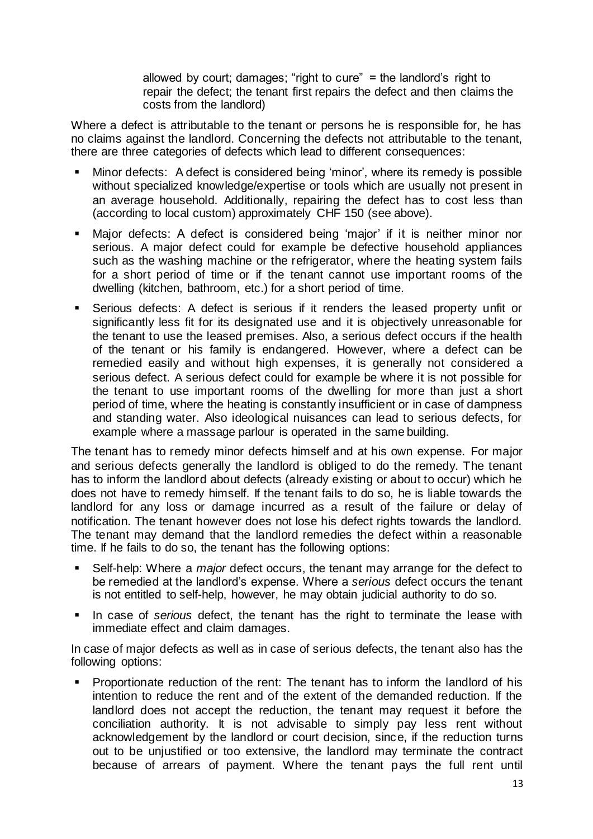allowed by court; damages; "right to cure" = the landlord's right to repair the defect; the tenant first repairs the defect and then claims the costs from the landlord)

Where a defect is attributable to the tenant or persons he is responsible for, he has no claims against the landlord. Concerning the defects not attributable to the tenant, there are three categories of defects which lead to different consequences:

- Minor defects: A defect is considered being 'minor', where its remedy is possible without specialized knowledge/expertise or tools which are usually not present in an average household. Additionally, repairing the defect has to cost less than (according to local custom) approximately CHF 150 (see above).
- Major defects: A defect is considered being 'major' if it is neither minor nor serious. A major defect could for example be defective household appliances such as the washing machine or the refrigerator, where the heating system fails for a short period of time or if the tenant cannot use important rooms of the dwelling (kitchen, bathroom, etc.) for a short period of time.
- Serious defects: A defect is serious if it renders the leased property unfit or significantly less fit for its designated use and it is objectively unreasonable for the tenant to use the leased premises. Also, a serious defect occurs if the health of the tenant or his family is endangered. However, where a defect can be remedied easily and without high expenses, it is generally not considered a serious defect. A serious defect could for example be where it is not possible for the tenant to use important rooms of the dwelling for more than just a short period of time, where the heating is constantly insufficient or in case of dampness and standing water. Also ideological nuisances can lead to serious defects, for example where a massage parlour is operated in the same building.

The tenant has to remedy minor defects himself and at his own expense. For major and serious defects generally the landlord is obliged to do the remedy. The tenant has to inform the landlord about defects (already existing or about to occur) which he does not have to remedy himself. If the tenant fails to do so, he is liable towards the landlord for any loss or damage incurred as a result of the failure or delay of notification. The tenant however does not lose his defect rights towards the landlord. The tenant may demand that the landlord remedies the defect within a reasonable time. If he fails to do so, the tenant has the following options:

- Self-help: Where a *major* defect occurs, the tenant may arrange for the defect to be remedied at the landlord's expense. Where a *serious* defect occurs the tenant is not entitled to self-help, however, he may obtain judicial authority to do so.
- In case of *serious* defect, the tenant has the right to terminate the lease with immediate effect and claim damages.

In case of major defects as well as in case of serious defects, the tenant also has the following options:

 Proportionate reduction of the rent: The tenant has to inform the landlord of his intention to reduce the rent and of the extent of the demanded reduction. If the landlord does not accept the reduction, the tenant may request it before the conciliation authority. It is not advisable to simply pay less rent without acknowledgement by the landlord or court decision, since, if the reduction turns out to be unjustified or too extensive, the landlord may terminate the contract because of arrears of payment. Where the tenant pays the full rent until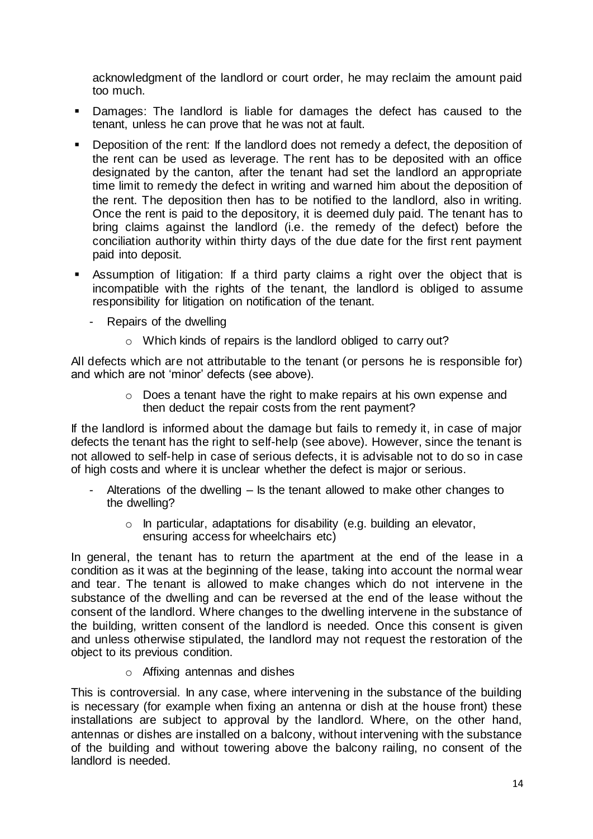acknowledgment of the landlord or court order, he may reclaim the amount paid too much.

- Damages: The landlord is liable for damages the defect has caused to the tenant, unless he can prove that he was not at fault.
- Deposition of the rent: If the landlord does not remedy a defect, the deposition of the rent can be used as leverage. The rent has to be deposited with an office designated by the canton, after the tenant had set the landlord an appropriate time limit to remedy the defect in writing and warned him about the deposition of the rent. The deposition then has to be notified to the landlord, also in writing. Once the rent is paid to the depository, it is deemed duly paid. The tenant has to bring claims against the landlord (i.e. the remedy of the defect) before the conciliation authority within thirty days of the due date for the first rent payment paid into deposit.
- Assumption of litigation: If a third party claims a right over the object that is incompatible with the rights of the tenant, the landlord is obliged to assume responsibility for litigation on notification of the tenant.
	- Repairs of the dwelling
		- o Which kinds of repairs is the landlord obliged to carry out?

All defects which are not attributable to the tenant (or persons he is responsible for) and which are not 'minor' defects (see above).

> $\circ$  Does a tenant have the right to make repairs at his own expense and then deduct the repair costs from the rent payment?

If the landlord is informed about the damage but fails to remedy it, in case of major defects the tenant has the right to self-help (see above). However, since the tenant is not allowed to self-help in case of serious defects, it is advisable not to do so in case of high costs and where it is unclear whether the defect is major or serious.

- Alterations of the dwelling  $-$  Is the tenant allowed to make other changes to the dwelling?
	- o In particular, adaptations for disability (e.g. building an elevator, ensuring access for wheelchairs etc)

In general, the tenant has to return the apartment at the end of the lease in a condition as it was at the beginning of the lease, taking into account the normal wear and tear. The tenant is allowed to make changes which do not intervene in the substance of the dwelling and can be reversed at the end of the lease without the consent of the landlord. Where changes to the dwelling intervene in the substance of the building, written consent of the landlord is needed. Once this consent is given and unless otherwise stipulated, the landlord may not request the restoration of the object to its previous condition.

o Affixing antennas and dishes

This is controversial. In any case, where intervening in the substance of the building is necessary (for example when fixing an antenna or dish at the house front) these installations are subject to approval by the landlord. Where, on the other hand, antennas or dishes are installed on a balcony, without intervening with the substance of the building and without towering above the balcony railing, no consent of the landlord is needed.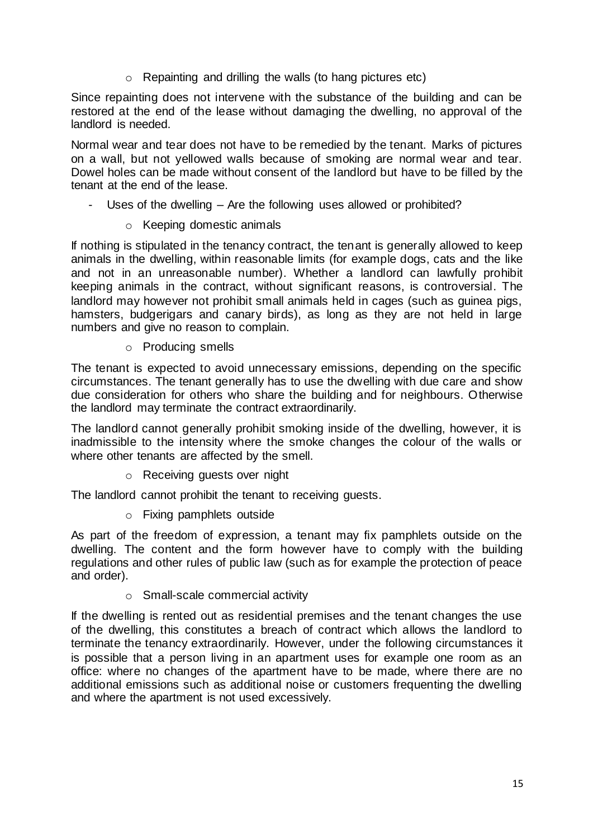o Repainting and drilling the walls (to hang pictures etc)

Since repainting does not intervene with the substance of the building and can be restored at the end of the lease without damaging the dwelling, no approval of the landlord is needed.

Normal wear and tear does not have to be remedied by the tenant. Marks of pictures on a wall, but not yellowed walls because of smoking are normal wear and tear. Dowel holes can be made without consent of the landlord but have to be filled by the tenant at the end of the lease.

- Uses of the dwelling Are the following uses allowed or prohibited?
	- o Keeping domestic animals

If nothing is stipulated in the tenancy contract, the tenant is generally allowed to keep animals in the dwelling, within reasonable limits (for example dogs, cats and the like and not in an unreasonable number). Whether a landlord can lawfully prohibit keeping animals in the contract, without significant reasons, is controversial. The landlord may however not prohibit small animals held in cages (such as guinea pigs, hamsters, budgerigars and canary birds), as long as they are not held in large numbers and give no reason to complain.

o Producing smells

The tenant is expected to avoid unnecessary emissions, depending on the specific circumstances. The tenant generally has to use the dwelling with due care and show due consideration for others who share the building and for neighbours. Otherwise the landlord may terminate the contract extraordinarily.

The landlord cannot generally prohibit smoking inside of the dwelling, however, it is inadmissible to the intensity where the smoke changes the colour of the walls or where other tenants are affected by the smell.

o Receiving guests over night

The landlord cannot prohibit the tenant to receiving guests.

o Fixing pamphlets outside

As part of the freedom of expression, a tenant may fix pamphlets outside on the dwelling. The content and the form however have to comply with the building regulations and other rules of public law (such as for example the protection of peace and order).

o Small-scale commercial activity

If the dwelling is rented out as residential premises and the tenant changes the use of the dwelling, this constitutes a breach of contract which allows the landlord to terminate the tenancy extraordinarily. However, under the following circumstances it is possible that a person living in an apartment uses for example one room as an office: where no changes of the apartment have to be made, where there are no additional emissions such as additional noise or customers frequenting the dwelling and where the apartment is not used excessively.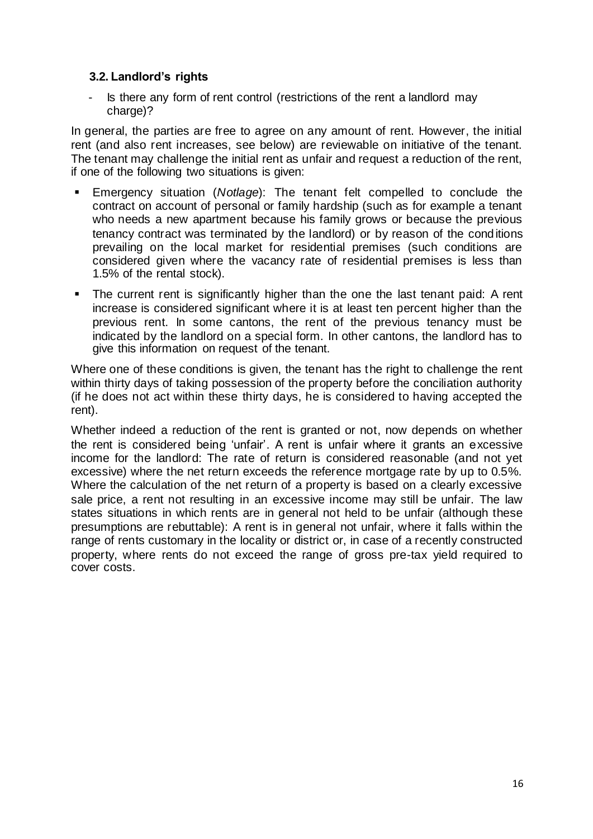# <span id="page-15-0"></span>**3.2. Landlord's rights**

Is there any form of rent control (restrictions of the rent a landlord may charge)?

In general, the parties are free to agree on any amount of rent. However, the initial rent (and also rent increases, see below) are reviewable on initiative of the tenant. The tenant may challenge the initial rent as unfair and request a reduction of the rent, if one of the following two situations is given:

- Emergency situation (*Notlage*): The tenant felt compelled to conclude the contract on account of personal or family hardship (such as for example a tenant who needs a new apartment because his family grows or because the previous tenancy contract was terminated by the landlord) or by reason of the conditions prevailing on the local market for residential premises (such conditions are considered given where the vacancy rate of residential premises is less than 1.5% of the rental stock).
- The current rent is significantly higher than the one the last tenant paid: A rent increase is considered significant where it is at least ten percent higher than the previous rent. In some cantons, the rent of the previous tenancy must be indicated by the landlord on a special form. In other cantons, the landlord has to give this information on request of the tenant.

Where one of these conditions is given, the tenant has the right to challenge the rent within thirty days of taking possession of the property before the conciliation authority (if he does not act within these thirty days, he is considered to having accepted the rent).

Whether indeed a reduction of the rent is granted or not, now depends on whether the rent is considered being 'unfair'. A rent is unfair where it grants an excessive income for the landlord: The rate of return is considered reasonable (and not yet excessive) where the net return exceeds the reference mortgage rate by up to 0.5%. Where the calculation of the net return of a property is based on a clearly excessive sale price, a rent not resulting in an excessive income may still be unfair. The law states situations in which rents are in general not held to be unfair (although these presumptions are rebuttable): A rent is in general not unfair, where it falls within the range of rents customary in the locality or district or, in case of a recently constructed property, where rents do not exceed the range of gross pre-tax yield required to cover costs.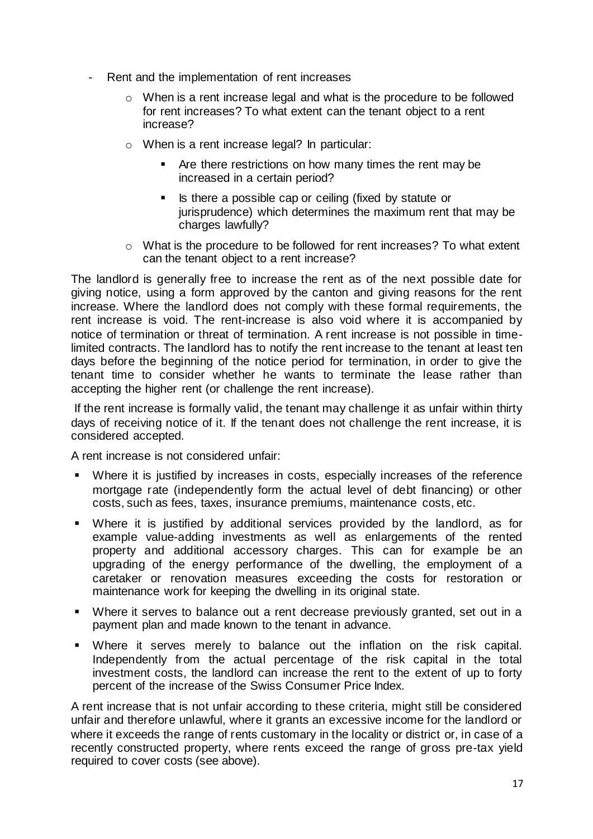- Rent and the implementation of rent increases
	- $\circ$  When is a rent increase legal and what is the procedure to be followed for rent increases? To what extent can the tenant object to a rent increase?
	- o When is a rent increase legal? In particular:
		- Are there restrictions on how many times the rent may be increased in a certain period?
		- Is there a possible cap or ceiling (fixed by statute or jurisprudence) which determines the maximum rent that may be charges lawfully?
	- o What is the procedure to be followed for rent increases? To what extent can the tenant object to a rent increase?

The landlord is generally free to increase the rent as of the next possible date for giving notice, using a form approved by the canton and giving reasons for the rent increase. Where the landlord does not comply with these formal requirements, the rent increase is void. The rent-increase is also void where it is accompanied by notice of termination or threat of termination. A rent increase is not possible in timelimited contracts. The landlord has to notify the rent increase to the tenant at least ten days before the beginning of the notice period for termination, in order to give the tenant time to consider whether he wants to terminate the lease rather than accepting the higher rent (or challenge the rent increase).

If the rent increase is formally valid, the tenant may challenge it as unfair within thirty days of receiving notice of it. If the tenant does not challenge the rent increase, it is considered accepted.

A rent increase is not considered unfair:

- Where it is justified by increases in costs, especially increases of the reference mortgage rate (independently form the actual level of debt financing) or other costs, such as fees, taxes, insurance premiums, maintenance costs, etc.
- Where it is justified by additional services provided by the landlord, as for example value-adding investments as well as enlargements of the rented property and additional accessory charges. This can for example be an upgrading of the energy performance of the dwelling, the employment of a caretaker or renovation measures exceeding the costs for restoration or maintenance work for keeping the dwelling in its original state.
- Where it serves to balance out a rent decrease previously granted, set out in a payment plan and made known to the tenant in advance.
- Where it serves merely to balance out the inflation on the risk capital. Independently from the actual percentage of the risk capital in the total investment costs, the landlord can increase the rent to the extent of up to forty percent of the increase of the Swiss Consumer Price Index.

A rent increase that is not unfair according to these criteria, might still be considered unfair and therefore unlawful, where it grants an excessive income for the landlord or where it exceeds the range of rents customary in the locality or district or, in case of a recently constructed property, where rents exceed the range of gross pre-tax yield required to cover costs (see above).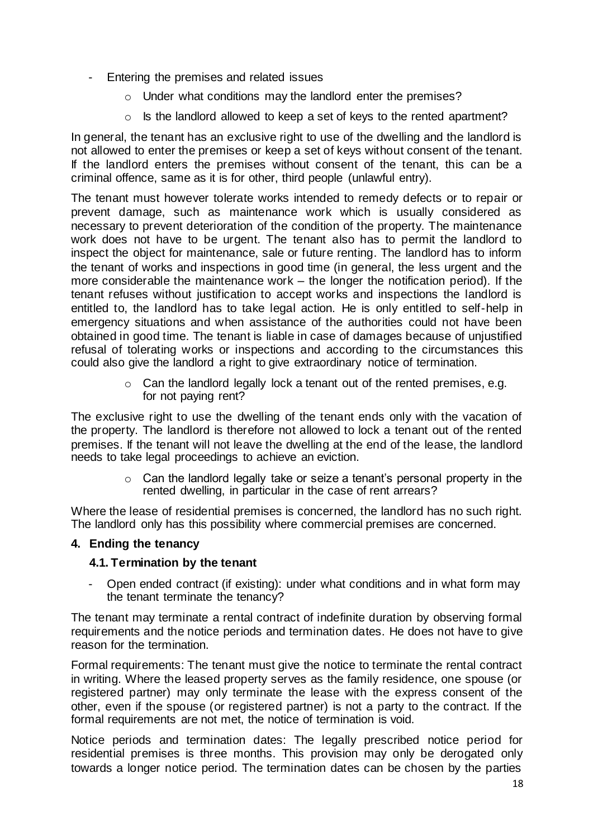- Entering the premises and related issues
	- o Under what conditions may the landlord enter the premises?
	- o Is the landlord allowed to keep a set of keys to the rented apartment?

In general, the tenant has an exclusive right to use of the dwelling and the landlord is not allowed to enter the premises or keep a set of keys without consent of the tenant. If the landlord enters the premises without consent of the tenant, this can be a criminal offence, same as it is for other, third people (unlawful entry).

The tenant must however tolerate works intended to remedy defects or to repair or prevent damage, such as maintenance work which is usually considered as necessary to prevent deterioration of the condition of the property. The maintenance work does not have to be urgent. The tenant also has to permit the landlord to inspect the object for maintenance, sale or future renting. The landlord has to inform the tenant of works and inspections in good time (in general, the less urgent and the more considerable the maintenance work – the longer the notification period). If the tenant refuses without justification to accept works and inspections the landlord is entitled to, the landlord has to take legal action. He is only entitled to self-help in emergency situations and when assistance of the authorities could not have been obtained in good time. The tenant is liable in case of damages because of unjustified refusal of tolerating works or inspections and according to the circumstances this could also give the landlord a right to give extraordinary notice of termination.

> o Can the landlord legally lock a tenant out of the rented premises, e.g. for not paying rent?

The exclusive right to use the dwelling of the tenant ends only with the vacation of the property. The landlord is therefore not allowed to lock a tenant out of the rented premises. If the tenant will not leave the dwelling at the end of the lease, the landlord needs to take legal proceedings to achieve an eviction.

> $\circ$  Can the landlord legally take or seize a tenant's personal property in the rented dwelling, in particular in the case of rent arrears?

Where the lease of residential premises is concerned, the landlord has no such right. The landlord only has this possibility where commercial premises are concerned.

#### <span id="page-17-1"></span><span id="page-17-0"></span>**4. Ending the tenancy**

#### **4.1. Termination by the tenant**

- Open ended contract (if existing): under what conditions and in what form may the tenant terminate the tenancy?

The tenant may terminate a rental contract of indefinite duration by observing formal requirements and the notice periods and termination dates. He does not have to give reason for the termination.

Formal requirements: The tenant must give the notice to terminate the rental contract in writing. Where the leased property serves as the family residence, one spouse (or registered partner) may only terminate the lease with the express consent of the other, even if the spouse (or registered partner) is not a party to the contract. If the formal requirements are not met, the notice of termination is void.

Notice periods and termination dates: The legally prescribed notice period for residential premises is three months. This provision may only be derogated only towards a longer notice period. The termination dates can be chosen by the parties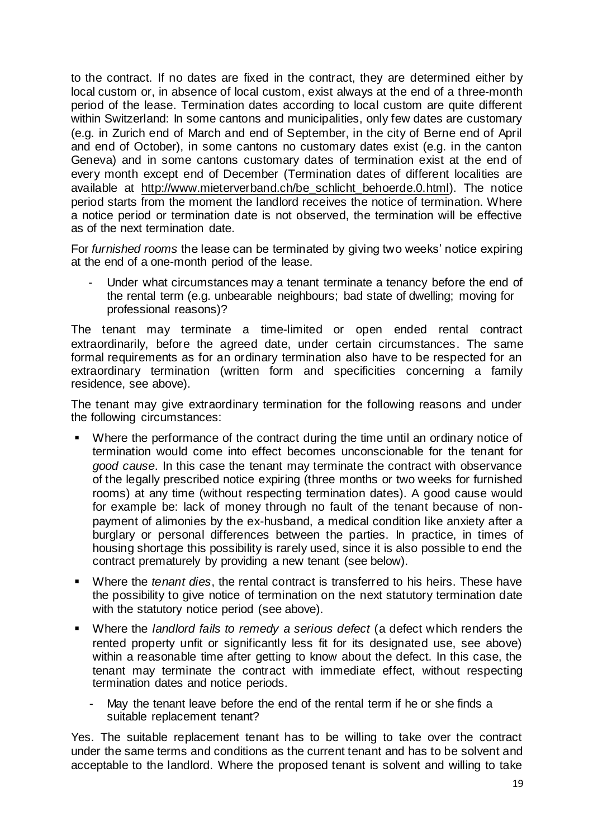to the contract. If no dates are fixed in the contract, they are determined either by local custom or, in absence of local custom, exist always at the end of a three-month period of the lease. Termination dates according to local custom are quite different within Switzerland: In some cantons and municipalities, only few dates are customary (e.g. in Zurich end of March and end of September, in the city of Berne end of April and end of October), in some cantons no customary dates exist (e.g. in the canton Geneva) and in some cantons customary dates of termination exist at the end of every month except end of December (Termination dates of different localities are available at [http://www.mieterverband.ch/be\\_schlicht\\_behoerde.0.html\)](http://www.mieterverband.ch/be_schlicht_behoerde.0.html). The notice period starts from the moment the landlord receives the notice of termination. Where a notice period or termination date is not observed, the termination will be effective as of the next termination date.

For *furnished rooms* the lease can be terminated by giving two weeks' notice expiring at the end of a one-month period of the lease.

Under what circumstances may a tenant terminate a tenancy before the end of the rental term (e.g. unbearable neighbours; bad state of dwelling; moving for professional reasons)?

The tenant may terminate a time-limited or open ended rental contract extraordinarily, before the agreed date, under certain circumstances. The same formal requirements as for an ordinary termination also have to be respected for an extraordinary termination (written form and specificities concerning a family residence, see above).

The tenant may give extraordinary termination for the following reasons and under the following circumstances:

- Where the performance of the contract during the time until an ordinary notice of termination would come into effect becomes unconscionable for the tenant for *good cause*. In this case the tenant may terminate the contract with observance of the legally prescribed notice expiring (three months or two weeks for furnished rooms) at any time (without respecting termination dates). A good cause would for example be: lack of money through no fault of the tenant because of nonpayment of alimonies by the ex-husband, a medical condition like anxiety after a burglary or personal differences between the parties. In practice, in times of housing shortage this possibility is rarely used, since it is also possible to end the contract prematurely by providing a new tenant (see below).
- Where the *tenant dies*, the rental contract is transferred to his heirs. These have the possibility to give notice of termination on the next statutory termination date with the statutory notice period (see above).
- Where the *landlord fails to remedy a serious defect* (a defect which renders the rented property unfit or significantly less fit for its designated use, see above) within a reasonable time after getting to know about the defect. In this case, the tenant may terminate the contract with immediate effect, without respecting termination dates and notice periods.
	- May the tenant leave before the end of the rental term if he or she finds a suitable replacement tenant?

Yes. The suitable replacement tenant has to be willing to take over the contract under the same terms and conditions as the current tenant and has to be solvent and acceptable to the landlord. Where the proposed tenant is solvent and willing to take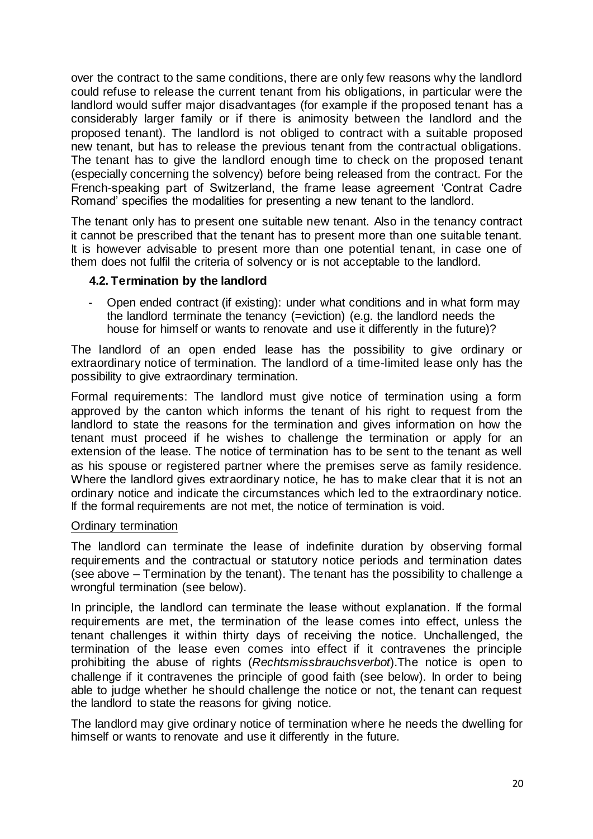over the contract to the same conditions, there are only few reasons why the landlord could refuse to release the current tenant from his obligations, in particular were the landlord would suffer major disadvantages (for example if the proposed tenant has a considerably larger family or if there is animosity between the landlord and the proposed tenant). The landlord is not obliged to contract with a suitable proposed new tenant, but has to release the previous tenant from the contractual obligations. The tenant has to give the landlord enough time to check on the proposed tenant (especially concerning the solvency) before being released from the contract. For the French-speaking part of Switzerland, the frame lease agreement 'Contrat Cadre Romand' specifies the modalities for presenting a new tenant to the landlord.

The tenant only has to present one suitable new tenant. Also in the tenancy contract it cannot be prescribed that the tenant has to present more than one suitable tenant. It is however advisable to present more than one potential tenant, in case one of them does not fulfil the criteria of solvency or is not acceptable to the landlord.

## <span id="page-19-0"></span>**4.2. Termination by the landlord**

- Open ended contract (if existing): under what conditions and in what form may the landlord terminate the tenancy (=eviction) (e.g. the landlord needs the house for himself or wants to renovate and use it differently in the future)?

The landlord of an open ended lease has the possibility to give ordinary or extraordinary notice of termination. The landlord of a time-limited lease only has the possibility to give extraordinary termination.

Formal requirements: The landlord must give notice of termination using a form approved by the canton which informs the tenant of his right to request from the landlord to state the reasons for the termination and gives information on how the tenant must proceed if he wishes to challenge the termination or apply for an extension of the lease. The notice of termination has to be sent to the tenant as well as his spouse or registered partner where the premises serve as family residence. Where the landlord gives extraordinary notice, he has to make clear that it is not an ordinary notice and indicate the circumstances which led to the extraordinary notice. If the formal requirements are not met, the notice of termination is void.

#### Ordinary termination

The landlord can terminate the lease of indefinite duration by observing formal requirements and the contractual or statutory notice periods and termination dates (see above – Termination by the tenant). The tenant has the possibility to challenge a wrongful termination (see below).

In principle, the landlord can terminate the lease without explanation. If the formal requirements are met, the termination of the lease comes into effect, unless the tenant challenges it within thirty days of receiving the notice. Unchallenged, the termination of the lease even comes into effect if it contravenes the principle prohibiting the abuse of rights (*Rechtsmissbrauchsverbot*).The notice is open to challenge if it contravenes the principle of good faith (see below). In order to being able to judge whether he should challenge the notice or not, the tenant can request the landlord to state the reasons for giving notice.

The landlord may give ordinary notice of termination where he needs the dwelling for himself or wants to renovate and use it differently in the future.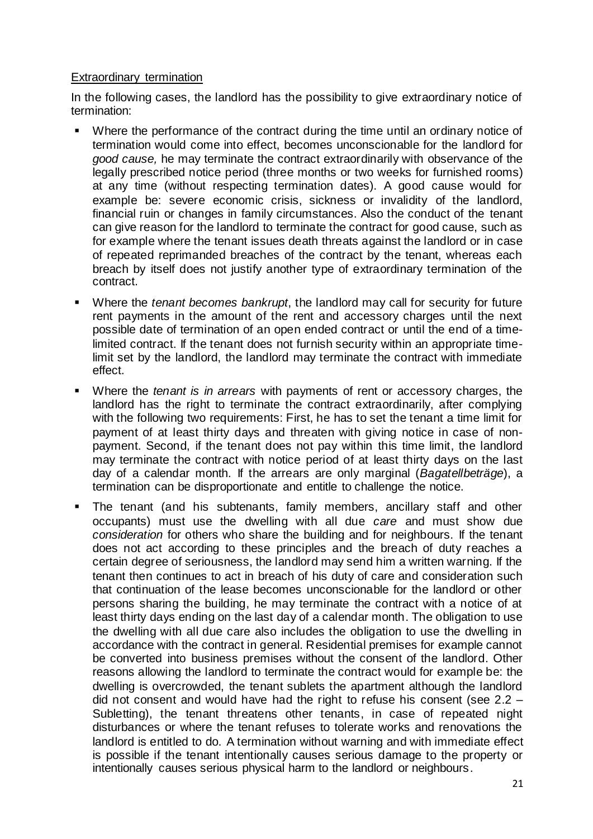#### Extraordinary termination

In the following cases, the landlord has the possibility to give extraordinary notice of termination:

- Where the performance of the contract during the time until an ordinary notice of termination would come into effect, becomes unconscionable for the landlord for *good cause,* he may terminate the contract extraordinarily with observance of the legally prescribed notice period (three months or two weeks for furnished rooms) at any time (without respecting termination dates). A good cause would for example be: severe economic crisis, sickness or invalidity of the landlord, financial ruin or changes in family circumstances. Also the conduct of the tenant can give reason for the landlord to terminate the contract for good cause, such as for example where the tenant issues death threats against the landlord or in case of repeated reprimanded breaches of the contract by the tenant, whereas each breach by itself does not justify another type of extraordinary termination of the contract.
- Where the *tenant becomes bankrupt*, the landlord may call for security for future rent payments in the amount of the rent and accessory charges until the next possible date of termination of an open ended contract or until the end of a timelimited contract. If the tenant does not furnish security within an appropriate timelimit set by the landlord, the landlord may terminate the contract with immediate effect.
- Where the *tenant is in arrears* with payments of rent or accessory charges, the landlord has the right to terminate the contract extraordinarily, after complying with the following two requirements: First, he has to set the tenant a time limit for payment of at least thirty days and threaten with giving notice in case of nonpayment. Second, if the tenant does not pay within this time limit, the landlord may terminate the contract with notice period of at least thirty days on the last day of a calendar month. If the arrears are only marginal (*Bagatellbeträge*), a termination can be disproportionate and entitle to challenge the notice.
- The tenant (and his subtenants, family members, ancillary staff and other occupants) must use the dwelling with all due *care* and must show due *consideration* for others who share the building and for neighbours. If the tenant does not act according to these principles and the breach of duty reaches a certain degree of seriousness, the landlord may send him a written warning. If the tenant then continues to act in breach of his duty of care and consideration such that continuation of the lease becomes unconscionable for the landlord or other persons sharing the building, he may terminate the contract with a notice of at least thirty days ending on the last day of a calendar month. The obligation to use the dwelling with all due care also includes the obligation to use the dwelling in accordance with the contract in general. Residential premises for example cannot be converted into business premises without the consent of the landlord. Other reasons allowing the landlord to terminate the contract would for example be: the dwelling is overcrowded, the tenant sublets the apartment although the landlord did not consent and would have had the right to refuse his consent (see 2.2 – Subletting), the tenant threatens other tenants, in case of repeated night disturbances or where the tenant refuses to tolerate works and renovations the landlord is entitled to do. A termination without warning and with immediate effect is possible if the tenant intentionally causes serious damage to the property or intentionally causes serious physical harm to the landlord or neighbours.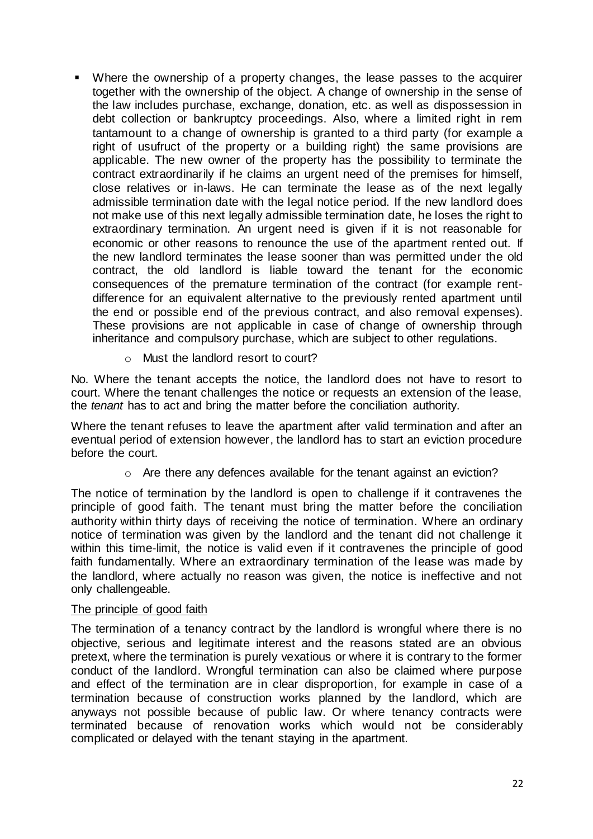- Where the ownership of a property changes, the lease passes to the acquirer together with the ownership of the object. A change of ownership in the sense of the law includes purchase, exchange, donation, etc. as well as dispossession in debt collection or bankruptcy proceedings. Also, where a limited right in rem tantamount to a change of ownership is granted to a third party (for example a right of usufruct of the property or a building right) the same provisions are applicable. The new owner of the property has the possibility to terminate the contract extraordinarily if he claims an urgent need of the premises for himself, close relatives or in-laws. He can terminate the lease as of the next legally admissible termination date with the legal notice period. If the new landlord does not make use of this next legally admissible termination date, he loses the right to extraordinary termination. An urgent need is given if it is not reasonable for economic or other reasons to renounce the use of the apartment rented out. If the new landlord terminates the lease sooner than was permitted under the old contract, the old landlord is liable toward the tenant for the economic consequences of the premature termination of the contract (for example rentdifference for an equivalent alternative to the previously rented apartment until the end or possible end of the previous contract, and also removal expenses). These provisions are not applicable in case of change of ownership through inheritance and compulsory purchase, which are subject to other regulations.
	- o Must the landlord resort to court?

No. Where the tenant accepts the notice, the landlord does not have to resort to court. Where the tenant challenges the notice or requests an extension of the lease, the *tenant* has to act and bring the matter before the conciliation authority.

Where the tenant refuses to leave the apartment after valid termination and after an eventual period of extension however, the landlord has to start an eviction procedure before the court.

o Are there any defences available for the tenant against an eviction?

The notice of termination by the landlord is open to challenge if it contravenes the principle of good faith. The tenant must bring the matter before the conciliation authority within thirty days of receiving the notice of termination. Where an ordinary notice of termination was given by the landlord and the tenant did not challenge it within this time-limit, the notice is valid even if it contravenes the principle of good faith fundamentally. Where an extraordinary termination of the lease was made by the landlord, where actually no reason was given, the notice is ineffective and not only challengeable.

#### The principle of good faith

The termination of a tenancy contract by the landlord is wrongful where there is no objective, serious and legitimate interest and the reasons stated are an obvious pretext, where the termination is purely vexatious or where it is contrary to the former conduct of the landlord. Wrongful termination can also be claimed where purpose and effect of the termination are in clear disproportion, for example in case of a termination because of construction works planned by the landlord, which are anyways not possible because of public law. Or where tenancy contracts were terminated because of renovation works which would not be considerably complicated or delayed with the tenant staying in the apartment.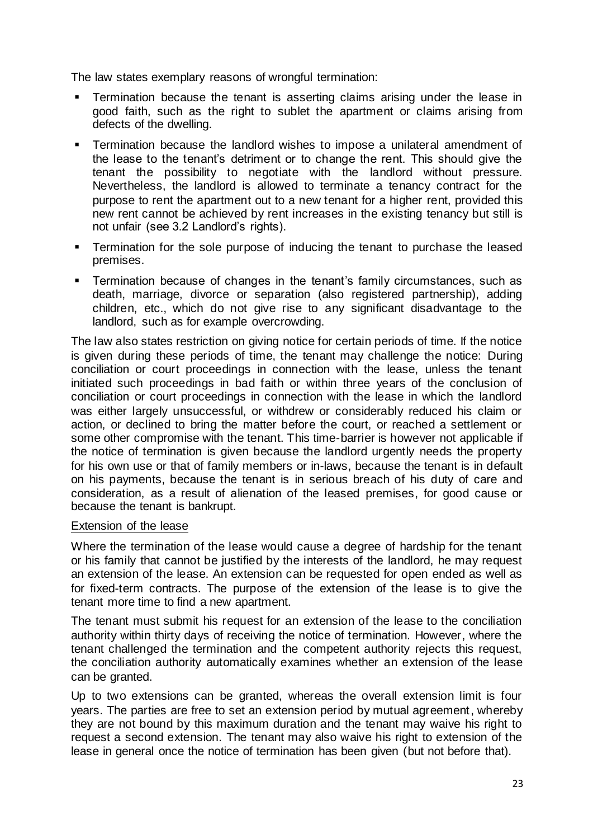The law states exemplary reasons of wrongful termination:

- Termination because the tenant is asserting claims arising under the lease in good faith, such as the right to sublet the apartment or claims arising from defects of the dwelling.
- Termination because the landlord wishes to impose a unilateral amendment of the lease to the tenant's detriment or to change the rent. This should give the tenant the possibility to negotiate with the landlord without pressure. Nevertheless, the landlord is allowed to terminate a tenancy contract for the purpose to rent the apartment out to a new tenant for a higher rent, provided this new rent cannot be achieved by rent increases in the existing tenancy but still is not unfair (see 3.2 Landlord's rights).
- **Termination for the sole purpose of inducing the tenant to purchase the leased** premises.
- Termination because of changes in the tenant's family circumstances, such as death, marriage, divorce or separation (also registered partnership), adding children, etc., which do not give rise to any significant disadvantage to the landlord, such as for example overcrowding.

The law also states restriction on giving notice for certain periods of time. If the notice is given during these periods of time, the tenant may challenge the notice: During conciliation or court proceedings in connection with the lease, unless the tenant initiated such proceedings in bad faith or within three years of the conclusion of conciliation or court proceedings in connection with the lease in which the landlord was either largely unsuccessful, or withdrew or considerably reduced his claim or action, or declined to bring the matter before the court, or reached a settlement or some other compromise with the tenant. This time-barrier is however not applicable if the notice of termination is given because the landlord urgently needs the property for his own use or that of family members or in-laws, because the tenant is in default on his payments, because the tenant is in serious breach of his duty of care and consideration, as a result of alienation of the leased premises, for good cause or because the tenant is bankrupt.

#### Extension of the lease

Where the termination of the lease would cause a degree of hardship for the tenant or his family that cannot be justified by the interests of the landlord, he may request an extension of the lease. An extension can be requested for open ended as well as for fixed-term contracts. The purpose of the extension of the lease is to give the tenant more time to find a new apartment.

The tenant must submit his request for an extension of the lease to the conciliation authority within thirty days of receiving the notice of termination. However, where the tenant challenged the termination and the competent authority rejects this request, the conciliation authority automatically examines whether an extension of the lease can be granted.

Up to two extensions can be granted, whereas the overall extension limit is four years. The parties are free to set an extension period by mutual agreement, whereby they are not bound by this maximum duration and the tenant may waive his right to request a second extension. The tenant may also waive his right to extension of the lease in general once the notice of termination has been given (but not before that).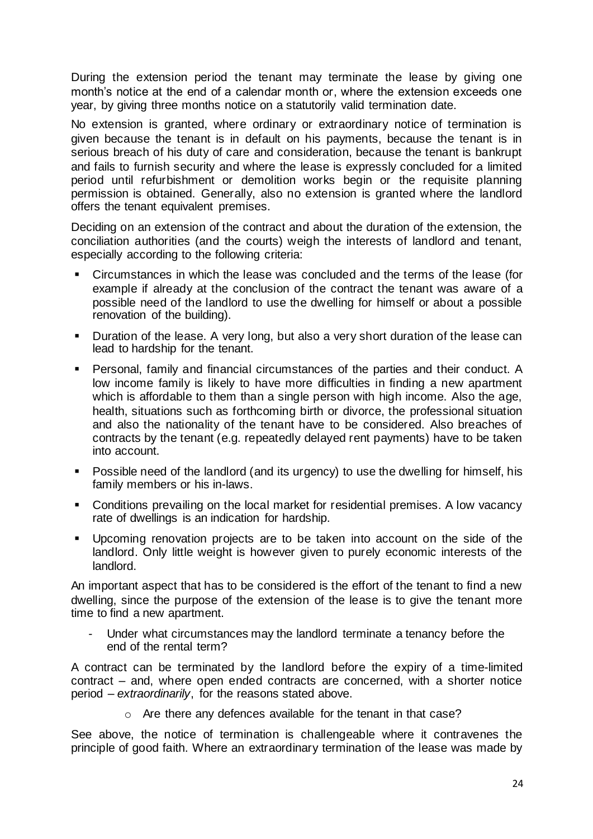During the extension period the tenant may terminate the lease by giving one month's notice at the end of a calendar month or, where the extension exceeds one year, by giving three months notice on a statutorily valid termination date.

No extension is granted, where ordinary or extraordinary notice of termination is given because the tenant is in default on his payments, because the tenant is in serious breach of his duty of care and consideration, because the tenant is bankrupt and fails to furnish security and where the lease is expressly concluded for a limited period until refurbishment or demolition works begin or the requisite planning permission is obtained. Generally, also no extension is granted where the landlord offers the tenant equivalent premises.

Deciding on an extension of the contract and about the duration of the extension, the conciliation authorities (and the courts) weigh the interests of landlord and tenant, especially according to the following criteria:

- Circumstances in which the lease was concluded and the terms of the lease (for example if already at the conclusion of the contract the tenant was aware of a possible need of the landlord to use the dwelling for himself or about a possible renovation of the building).
- **Duration of the lease. A very long, but also a very short duration of the lease can** lead to hardship for the tenant.
- Personal, family and financial circumstances of the parties and their conduct. A low income family is likely to have more difficulties in finding a new apartment which is affordable to them than a single person with high income. Also the age, health, situations such as forthcoming birth or divorce, the professional situation and also the nationality of the tenant have to be considered. Also breaches of contracts by the tenant (e.g. repeatedly delayed rent payments) have to be taken into account.
- Possible need of the landlord (and its urgency) to use the dwelling for himself, his family members or his in-laws.
- Conditions prevailing on the local market for residential premises. A low vacancy rate of dwellings is an indication for hardship.
- Upcoming renovation projects are to be taken into account on the side of the landlord. Only little weight is however given to purely economic interests of the landlord.

An important aspect that has to be considered is the effort of the tenant to find a new dwelling, since the purpose of the extension of the lease is to give the tenant more time to find a new apartment.

- Under what circumstances may the landlord terminate a tenancy before the end of the rental term?

A contract can be terminated by the landlord before the expiry of a time-limited contract – and, where open ended contracts are concerned, with a shorter notice period – *extraordinarily*, for the reasons stated above.

o Are there any defences available for the tenant in that case?

See above, the notice of termination is challengeable where it contravenes the principle of good faith. Where an extraordinary termination of the lease was made by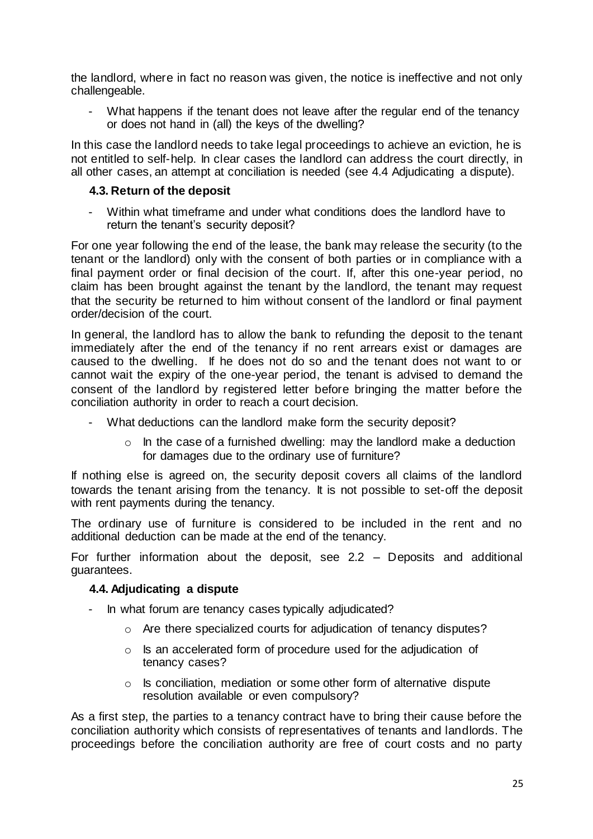the landlord, where in fact no reason was given, the notice is ineffective and not only challengeable.

- What happens if the tenant does not leave after the regular end of the tenancy or does not hand in (all) the keys of the dwelling?

In this case the landlord needs to take legal proceedings to achieve an eviction, he is not entitled to self-help. In clear cases the landlord can address the court directly, in all other cases, an attempt at conciliation is needed (see 4.4 Adjudicating a dispute).

#### <span id="page-24-0"></span>**4.3. Return of the deposit**

- Within what timeframe and under what conditions does the landlord have to return the tenant's security deposit?

For one year following the end of the lease, the bank may release the security (to the tenant or the landlord) only with the consent of both parties or in compliance with a final payment order or final decision of the court. If, after this one-year period, no claim has been brought against the tenant by the landlord, the tenant may request that the security be returned to him without consent of the landlord or final payment order/decision of the court.

In general, the landlord has to allow the bank to refunding the deposit to the tenant immediately after the end of the tenancy if no rent arrears exist or damages are caused to the dwelling. If he does not do so and the tenant does not want to or cannot wait the expiry of the one-year period, the tenant is advised to demand the consent of the landlord by registered letter before bringing the matter before the conciliation authority in order to reach a court decision.

- What deductions can the landlord make form the security deposit?
	- $\circ$  In the case of a furnished dwelling: may the landlord make a deduction for damages due to the ordinary use of furniture?

If nothing else is agreed on, the security deposit covers all claims of the landlord towards the tenant arising from the tenancy. It is not possible to set-off the deposit with rent payments during the tenancy.

The ordinary use of furniture is considered to be included in the rent and no additional deduction can be made at the end of the tenancy.

For further information about the deposit, see 2.2 – Deposits and additional guarantees.

#### <span id="page-24-1"></span>**4.4. Adjudicating a dispute**

- In what forum are tenancy cases typically adjudicated?
	- o Are there specialized courts for adjudication of tenancy disputes?
	- o Is an accelerated form of procedure used for the adjudication of tenancy cases?
	- o Is conciliation, mediation or some other form of alternative dispute resolution available or even compulsory?

As a first step, the parties to a tenancy contract have to bring their cause before the conciliation authority which consists of representatives of tenants and landlords. The proceedings before the conciliation authority are free of court costs and no party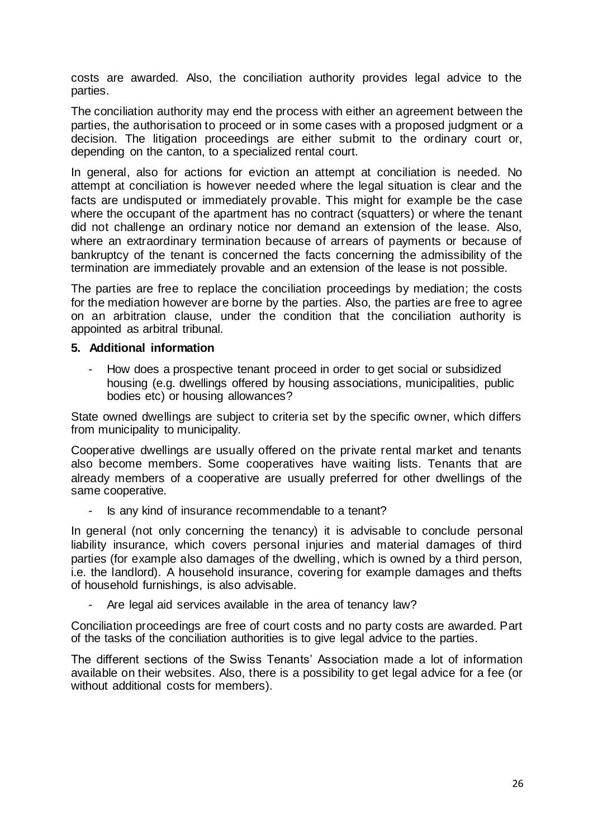costs are awarded. Also, the conciliation authority provides legal advice to the parties.

The conciliation authority may end the process with either an agreement between the parties, the authorisation to proceed or in some cases with a proposed judgment or a decision. The litigation proceedings are either submit to the ordinary court or, depending on the canton, to a specialized rental court.

In general, also for actions for eviction an attempt at conciliation is needed. No attempt at conciliation is however needed where the legal situation is clear and the facts are undisputed or immediately provable. This might for example be the case where the occupant of the apartment has no contract (squatters) or where the tenant did not challenge an ordinary notice nor demand an extension of the lease. Also, where an extraordinary termination because of arrears of payments or because of bankruptcy of the tenant is concerned the facts concerning the admissibility of the termination are immediately provable and an extension of the lease is not possible.

The parties are free to replace the conciliation proceedings by mediation; the costs for the mediation however are borne by the parties. Also, the parties are free to agree on an arbitration clause, under the condition that the conciliation authority is appointed as arbitral tribunal.

#### <span id="page-25-0"></span>**5. Additional information**

How does a prospective tenant proceed in order to get social or subsidized housing (e.g. dwellings offered by housing associations, municipalities, public bodies etc) or housing allowances?

State owned dwellings are subject to criteria set by the specific owner, which differs from municipality to municipality.

Cooperative dwellings are usually offered on the private rental market and tenants also become members. Some cooperatives have waiting lists. Tenants that are already members of a cooperative are usually preferred for other dwellings of the same cooperative.

Is any kind of insurance recommendable to a tenant?

In general (not only concerning the tenancy) it is advisable to conclude personal liability insurance, which covers personal injuries and material damages of third parties (for example also damages of the dwelling, which is owned by a third person, i.e. the landlord). A household insurance, covering for example damages and thefts of household furnishings, is also advisable.

Are legal aid services available in the area of tenancy law?

Conciliation proceedings are free of court costs and no party costs are awarded. Part of the tasks of the conciliation authorities is to give legal advice to the parties.

The different sections of the Swiss Tenants' Association made a lot of information available on their websites. Also, there is a possibility to get legal advice for a fee (or without additional costs for members).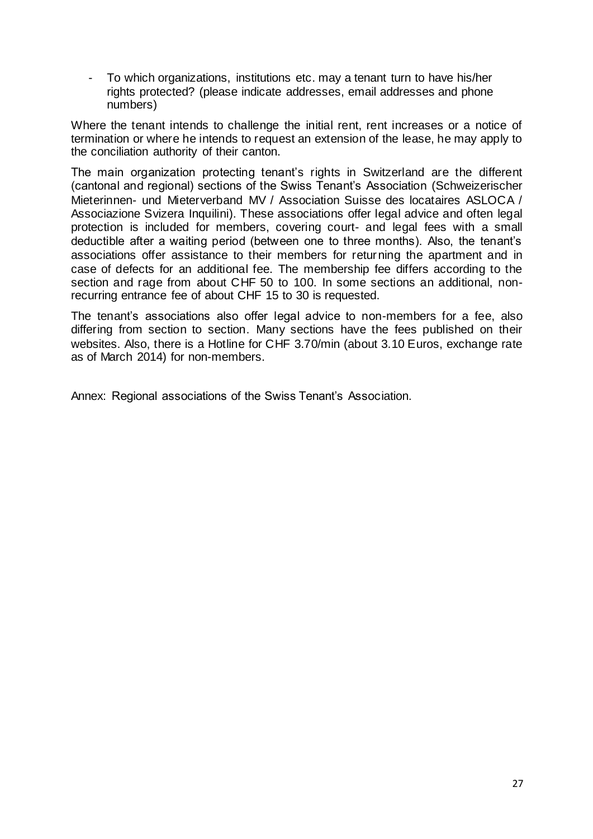- To which organizations, institutions etc. may a tenant turn to have his/her rights protected? (please indicate addresses, email addresses and phone numbers)

Where the tenant intends to challenge the initial rent, rent increases or a notice of termination or where he intends to request an extension of the lease, he may apply to the conciliation authority of their canton.

The main organization protecting tenant's rights in Switzerland are the different (cantonal and regional) sections of the Swiss Tenant's Association (Schweizerischer Mieterinnen- und Mieterverband MV / Association Suisse des locataires ASLOCA / Associazione Svizera Inquilini). These associations offer legal advice and often legal protection is included for members, covering court- and legal fees with a small deductible after a waiting period (between one to three months). Also, the tenant's associations offer assistance to their members for returning the apartment and in case of defects for an additional fee. The membership fee differs according to the section and rage from about CHF 50 to 100. In some sections an additional, nonrecurring entrance fee of about CHF 15 to 30 is requested.

The tenant's associations also offer legal advice to non-members for a fee, also differing from section to section. Many sections have the fees published on their websites. Also, there is a Hotline for CHF 3.70/min (about 3.10 Euros, exchange rate as of March 2014) for non-members.

Annex: Regional associations of the Swiss Tenant's Association.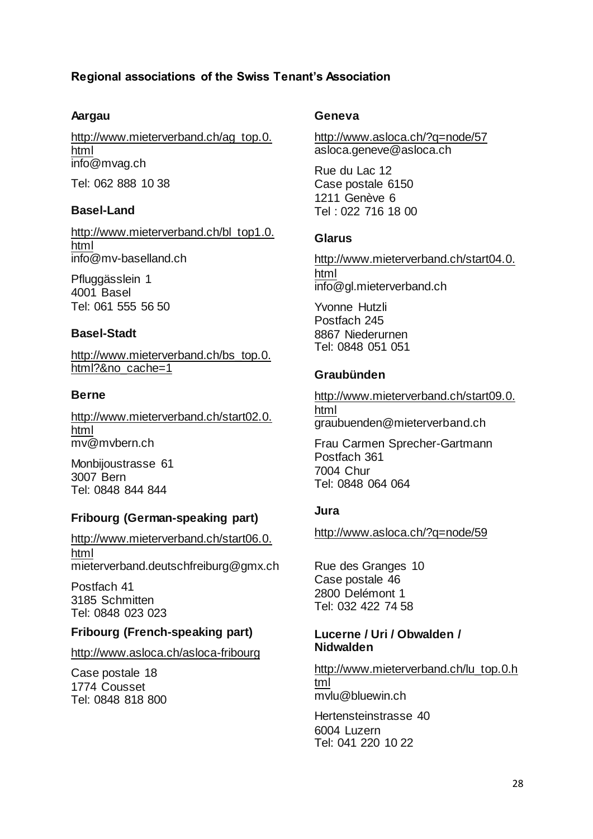# **Regional associations of the Swiss Tenant's Association**

#### **Aargau**

[http://www.mieterverband.ch/ag\\_top.0.](http://www.mieterverband.ch/ag_top.0.html) [html](http://www.mieterverband.ch/ag_top.0.html) info@mvag.ch

Tel: 062 888 10 38

#### **Basel-Land**

[http://www.mieterverband.ch/bl\\_top1.0.](http://www.mieterverband.ch/bl_top1.0.html) [html](http://www.mieterverband.ch/bl_top1.0.html) info@mv-baselland.ch

Pfluggässlein 1 4001 Basel Tel: 061 555 56 50

#### **Basel-Stadt**

[http://www.mieterverband.ch/bs\\_top.0.](http://www.mieterverband.ch/bs_top.0.html?&no_cache=1) [html?&no\\_cache=1](http://www.mieterverband.ch/bs_top.0.html?&no_cache=1)

#### **Berne**

[http://www.mieterverband.ch/start02.0.](http://www.mieterverband.ch/start02.0.html) [html](http://www.mieterverband.ch/start02.0.html) mv@mybern.ch

Monbijoustrasse 61 3007 Bern Tel: 0848 844 844

#### **Fribourg (German-speaking part)**

[http://www.mieterverband.ch/start06.0.](http://www.mieterverband.ch/start06.0.html) [html](http://www.mieterverband.ch/start06.0.html) mieterverband.deutschfreiburg@gmx.ch

Postfach 41 3185 Schmitten Tel: 0848 023 023

#### **Fribourg (French-speaking part)**

<http://www.asloca.ch/asloca-fribourg>

Case postale 18 1774 Cousset Tel: 0848 818 800

#### **Geneva**

<http://www.asloca.ch/?q=node/57> asloca.geneve@asloca.ch

Rue du Lac 12 Case postale 6150 1211 Genève 6 Tel : 022 716 18 00

#### **Glarus**

[http://www.mieterverband.ch/start04.0.](http://www.mieterverband.ch/start04.0.html) [html](http://www.mieterverband.ch/start04.0.html) info@gl.mieterverband.ch

Yvonne Hutzli Postfach 245 8867 Niederurnen Tel: 0848 051 051

## **Graubünden**

[http://www.mieterverband.ch/start09.0.](http://www.mieterverband.ch/start09.0.html) [html](http://www.mieterverband.ch/start09.0.html) graubuenden@mieterverband.ch

Frau Carmen Sprecher-Gartmann Postfach 361 7004 Chur Tel: 0848 064 064

#### **Jura**

<http://www.asloca.ch/?q=node/59>

Rue des Granges 10 Case postale 46 2800 Delémont 1 Tel: 032 422 74 58

#### **Lucerne / Uri / Obwalden / Nidwalden**

[http://www.mieterverband.ch/lu\\_top.0.h](http://www.mieterverband.ch/lu_top.0.html) [tml](http://www.mieterverband.ch/lu_top.0.html) mvlu@bluewin.ch

Hertensteinstrasse 40 6004 Luzern Tel: 041 220 10 22